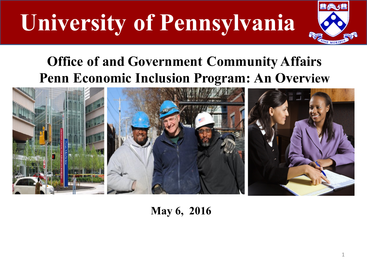

### **Office of and Government Community Affairs Penn Economic Inclusion Program: An Overview**



**May 6, 2016**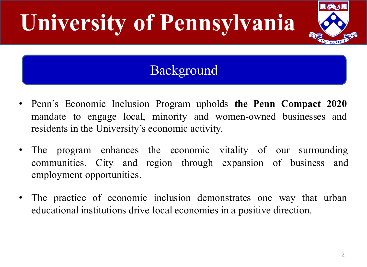### Background

- Penn's Economic Inclusion Program upholds **the Penn Compact 2020** mandate to engage local, minority and women-owned businesses and residents in the University's economic activity.
- The program enhances the economic vitality of our surrounding communities, City and region through expansion of business and employment opportunities.
- The practice of economic inclusion demonstrates one way that urban educational institutions drive local economies in a positive direction.

出会力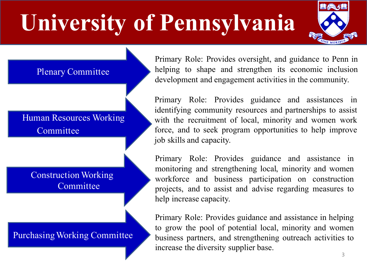

Plenary Committee

Human Resources Working **Committee** 

Construction Working **Committee** 

Purchasing Working Committee

Primary Role: Provides oversight, and guidance to Penn in helping to shape and strengthen its economic inclusion development and engagement activities in the community.

Primary Role: Provides guidance and assistances in identifying community resources and partnerships to assist with the recruitment of local, minority and women work force, and to seek program opportunities to help improve job skills and capacity.

Primary Role: Provides guidance and assistance in monitoring and strengthening local, minority and women workforce and business participation on construction projects, and to assist and advise regarding measures to help increase capacity.

Primary Role: Provides guidance and assistance in helping to grow the pool of potential local, minority and women business partners, and strengthening outreach activities to increase the diversity supplier base.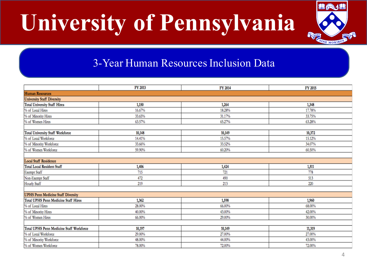

#### 3-Year Human Resources Inclusion Data

|                                           | FY 2013 | FY 2014 | FY 2015 |
|-------------------------------------------|---------|---------|---------|
| <b>Human Resources</b>                    |         |         |         |
| <b>University Staff Diversity</b>         |         |         |         |
| <b>Total University Staff Hires</b>       | 1,150   | 1,264   | 1,348   |
| % of Local Hires                          | 16.67%  | 18.28%  | 17.78%  |
| % of Minority Hires                       | 33.65%  | 31.17%  | 33.75%  |
| % of Women Hires                          | 63.57%  | 65.27%  | 63.28%  |
|                                           |         |         |         |
| Total University Staff Workforce          | 10,148  | 10,149  | 10,372  |
| % of Local Workforce                      | 14.41%  | 15.57%  | 15.12%  |
| % of Minority Workforce                   | 33.66%  | 33.52%  | 34.07%  |
| % of Women Workforce                      | 59.90%  | 60.20%  | 60.50%  |
|                                           |         |         |         |
| <b>Local Staff Residence</b>              |         |         |         |
| Total Local Resident Staff                | 1,406   | 1,424   | 1,511   |
| <b>Exempt Staff</b>                       | 715     | 721     | 778     |
| Non-Exempt Staff                          | 472     | 490     | 513     |
| Hourly Staff                              | 219     | 213     | 220     |
|                                           |         |         |         |
| <b>UPHS Penn Medicine Staff Diversity</b> |         |         |         |
| Total UPHS Penn Medicine Staff Hires      | 1,362   | 1,598   | 1,960   |
| % of Local Hires                          | 28.00%  | 66.00%  | 68.00%  |
| % of Minority Hires                       | 40.00%  | 43.00%  | 42.00%  |
| % of Women Hires                          | 66.00%  | 29.00%  | 30.00%  |
|                                           |         |         |         |
| Total UPHS Penn Medicine Staff Workforce  | 10,197  | 10,149  | 11,319  |
| % of Local Workforce                      | 29.00%  | 27.00%  | 27.00%  |
| % of Minority Workforce                   | 48.00%  | 44.00%  | 43.00%  |
| % of Women Workforce                      | 78.00%  | 72.00%  | 72.00%  |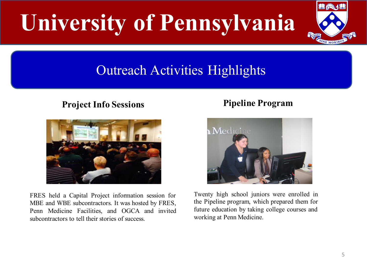### Outreach Activities Highlights

#### **Project Info Sessions**



FRES held a Capital Project information session for MBE and WBE subcontractors. It was hosted by FRES, Penn Medicine Facilities, and OGCA and invited subcontractors to tell their stories of success.

#### **Pipeline Program**



Twenty high school juniors were enrolled in the Pipeline program, which prepared them for future education by taking college courses and working at Penn Medicine.

**LIA** 

**EXPERIENCE MORE**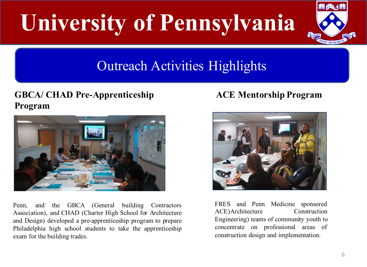

### Outreach Activities Highlights

#### **GBCA/ CHAD Pre-Apprenticeship Program**



Penn, and the GBCA (General building Contractors Association), and CHAD (Charter High School for Architecture and Design) developed a pre-apprenticeship program to prepare Philadelphia high school students to take the apprenticeship exam for the building trades.

#### **ACE Mentorship Program**



FRES and Penn Medicine sponsored ACE)Architecture Construction Engineering) teams of community youth to concentrate on professional areas of construction design and implementation.